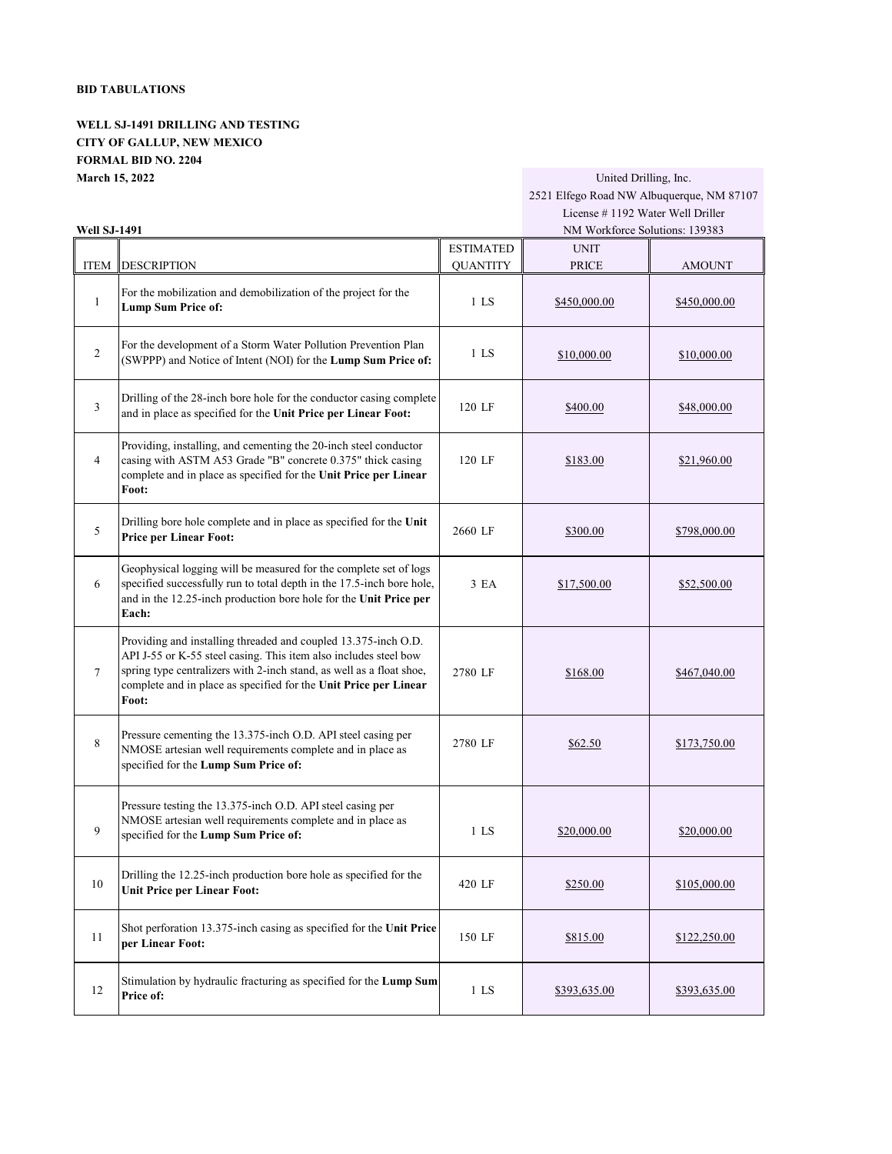## **BID TABULATIONS**

**WELL SJ-1491 DRILLING AND TESTING CITY OF GALLUP, NEW MEXICO FORMAL BID NO. 2204 March 15, 2022** United Drilling, Inc.

## 2521 Elfego Road NW Albuquerque, NM 87107 License # 1192 Water Well Driller

| Well SJ-1491   |                                                                                                                                                                                                                                                                                         |                  | NM Workforce Solutions: 139383 |                     |  |
|----------------|-----------------------------------------------------------------------------------------------------------------------------------------------------------------------------------------------------------------------------------------------------------------------------------------|------------------|--------------------------------|---------------------|--|
|                |                                                                                                                                                                                                                                                                                         | <b>ESTIMATED</b> | <b>UNIT</b>                    |                     |  |
| <b>ITEM</b>    | <b>DESCRIPTION</b>                                                                                                                                                                                                                                                                      | <b>QUANTITY</b>  | <b>PRICE</b>                   | <b>AMOUNT</b>       |  |
| 1              | For the mobilization and demobilization of the project for the<br><b>Lump Sum Price of:</b>                                                                                                                                                                                             | 1 <sub>LS</sub>  | \$450,000.00                   | \$450,000.00        |  |
| $\overline{2}$ | For the development of a Storm Water Pollution Prevention Plan<br>(SWPPP) and Notice of Intent (NOI) for the Lump Sum Price of:                                                                                                                                                         | 1 <sub>LS</sub>  | \$10,000.00                    | \$10,000.00         |  |
| 3              | Drilling of the 28-inch bore hole for the conductor casing complete<br>and in place as specified for the Unit Price per Linear Foot:                                                                                                                                                    | 120 LF           | \$400.00                       | \$48,000.00         |  |
| $\overline{4}$ | Providing, installing, and cementing the 20-inch steel conductor<br>casing with ASTM A53 Grade "B" concrete 0.375" thick casing<br>complete and in place as specified for the Unit Price per Linear<br>Foot:                                                                            | 120 LF           | \$183.00                       | \$21,960.00         |  |
| 5              | Drilling bore hole complete and in place as specified for the Unit<br><b>Price per Linear Foot:</b>                                                                                                                                                                                     | 2660 LF          | \$300.00                       | \$798,000.00        |  |
| 6              | Geophysical logging will be measured for the complete set of logs<br>specified successfully run to total depth in the 17.5-inch bore hole,<br>and in the 12.25-inch production bore hole for the Unit Price per<br>Each:                                                                | 3 EA             | \$17,500.00                    | \$52,500.00         |  |
| $\tau$         | Providing and installing threaded and coupled 13.375-inch O.D.<br>API J-55 or K-55 steel casing. This item also includes steel bow<br>spring type centralizers with 2-inch stand, as well as a float shoe,<br>complete and in place as specified for the Unit Price per Linear<br>Foot: | 2780 LF          | \$168.00                       | \$467,040.00        |  |
| 8              | Pressure cementing the 13.375-inch O.D. API steel casing per<br>NMOSE artesian well requirements complete and in place as<br>specified for the Lump Sum Price of:                                                                                                                       | 2780 LF          | \$62.50                        | \$173,750.00        |  |
| 9              | Pressure testing the 13.375-inch O.D. API steel casing per<br>NMOSE artesian well requirements complete and in place as<br>specified for the Lump Sum Price of:                                                                                                                         | $1$ LS           | \$20,000.00                    | \$20,000.00         |  |
| 10             | Drilling the 12.25-inch production bore hole as specified for the<br><b>Unit Price per Linear Foot:</b>                                                                                                                                                                                 | 420 LF           | \$250.00                       | <u>\$105,000.00</u> |  |
| 11             | Shot perforation 13.375-inch casing as specified for the Unit Price<br>per Linear Foot:                                                                                                                                                                                                 | 150 LF           | \$815.00                       | \$122,250.00        |  |
| 12             | Stimulation by hydraulic fracturing as specified for the Lump Sum<br>Price of:                                                                                                                                                                                                          | $1$ LS           | \$393,635.00                   | \$393,635.00        |  |